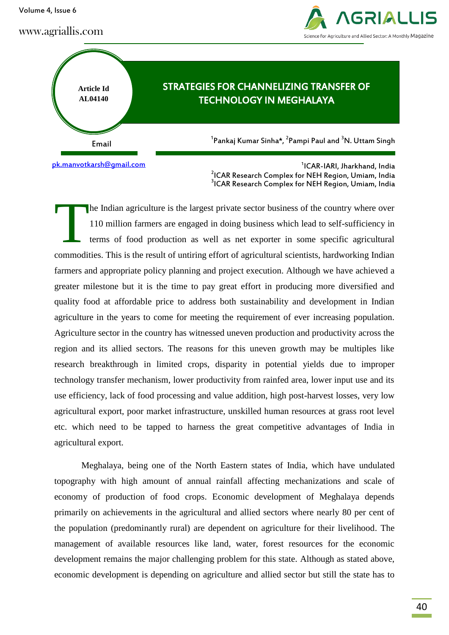Volume 4, Issue 6





[pk.manvotkarsh@gmail.com](mailto:pk.manvotkarsh@gmail.com)

1 ICAR-IARI, Jharkhand, India  $\frac{2}{3}$ ICAR Research Complex for NEH Region, Umiam, India 3 ICAR Research Complex for NEH Region, Umiam, India

he Indian agriculture is the largest private sector business of the country where over 110 million farmers are engaged in doing business which lead to self-sufficiency in terms of food production as well as net exporter in some specific agricultural commodities. This is the result of untiring effort of agricultural scientists, hardworking Indian farmers and appropriate policy planning and project execution. Although we have achieved a greater milestone but it is the time to pay great effort in producing more diversified and quality food at affordable price to address both sustainability and development in Indian agriculture in the years to come for meeting the requirement of ever increasing population. Agriculture sector in the country has witnessed uneven production and productivity across the region and its allied sectors. The reasons for this uneven growth may be multiples like research breakthrough in limited crops, disparity in potential yields due to improper technology transfer mechanism, lower productivity from rainfed area, lower input use and its use efficiency, lack of food processing and value addition, high post-harvest losses, very low agricultural export, poor market infrastructure, unskilled human resources at grass root level etc. which need to be tapped to harness the great competitive advantages of India in agricultural export. T

Meghalaya, being one of the North Eastern states of India, which have undulated topography with high amount of annual rainfall affecting mechanizations and scale of economy of production of food crops. Economic development of Meghalaya depends primarily on achievements in the agricultural and allied sectors where nearly 80 per cent of the population (predominantly rural) are dependent on agriculture for their livelihood. The management of available resources like land, water, forest resources for the economic development remains the major challenging problem for this state. Although as stated above, economic development is depending on agriculture and allied sector but still the state has to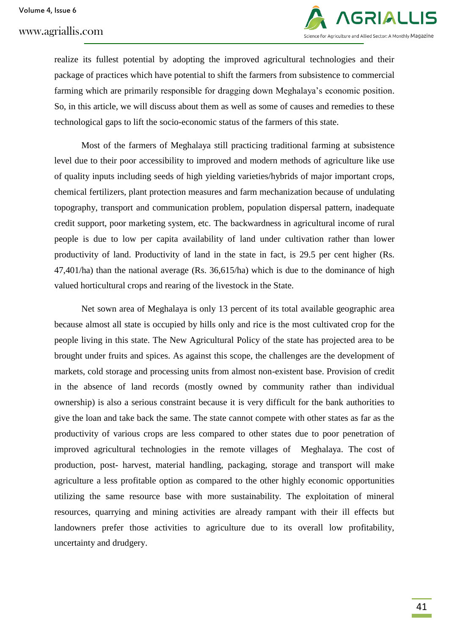

realize its fullest potential by adopting the improved agricultural technologies and their package of practices which have potential to shift the farmers from subsistence to commercial farming which are primarily responsible for dragging down Meghalaya's economic position. So, in this article, we will discuss about them as well as some of causes and remedies to these technological gaps to lift the socio-economic status of the farmers of this state.

Most of the farmers of Meghalaya still practicing traditional farming at subsistence level due to their poor accessibility to improved and modern methods of agriculture like use of quality inputs including seeds of high yielding varieties/hybrids of major important crops, chemical fertilizers, plant protection measures and farm mechanization because of undulating topography, transport and communication problem, population dispersal pattern, inadequate credit support, poor marketing system, etc. The backwardness in agricultural income of rural people is due to low per capita availability of land under cultivation rather than lower productivity of land. Productivity of land in the state in fact, is 29.5 per cent higher (Rs. 47,401/ha) than the national average (Rs. 36,615/ha) which is due to the dominance of high valued horticultural crops and rearing of the livestock in the State.

Net sown area of Meghalaya is only 13 percent of its total available geographic area because almost all state is occupied by hills only and rice is the most cultivated crop for the people living in this state. The New Agricultural Policy of the state has projected area to be brought under fruits and spices. As against this scope, the challenges are the development of markets, cold storage and processing units from almost non-existent base. Provision of credit in the absence of land records (mostly owned by community rather than individual ownership) is also a serious constraint because it is very difficult for the bank authorities to give the loan and take back the same. The state cannot compete with other states as far as the productivity of various crops are less compared to other states due to poor penetration of improved agricultural technologies in the remote villages of Meghalaya. The cost of production, post- harvest, material handling, packaging, storage and transport will make agriculture a less profitable option as compared to the other highly economic opportunities utilizing the same resource base with more sustainability. The exploitation of mineral resources, quarrying and mining activities are already rampant with their ill effects but landowners prefer those activities to agriculture due to its overall low profitability, uncertainty and drudgery.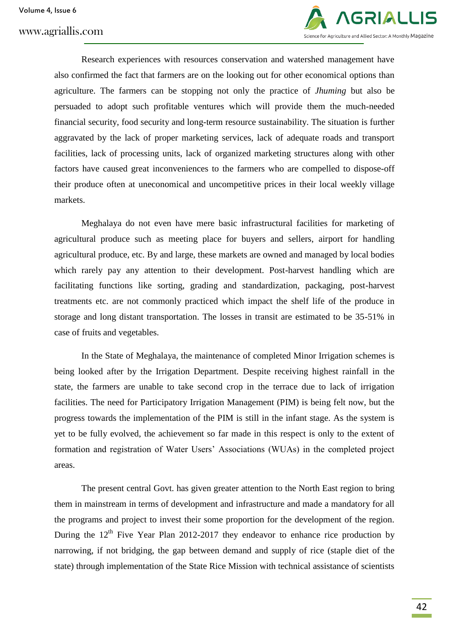

Research experiences with resources conservation and watershed management have also confirmed the fact that farmers are on the looking out for other economical options than agriculture. The farmers can be stopping not only the practice of *Jhuming* but also be persuaded to adopt such profitable ventures which will provide them the much-needed financial security, food security and long-term resource sustainability. The situation is further aggravated by the lack of proper marketing services, lack of adequate roads and transport facilities, lack of processing units, lack of organized marketing structures along with other factors have caused great inconveniences to the farmers who are compelled to dispose-off their produce often at uneconomical and uncompetitive prices in their local weekly village markets.

Meghalaya do not even have mere basic infrastructural facilities for marketing of agricultural produce such as meeting place for buyers and sellers, airport for handling agricultural produce, etc. By and large, these markets are owned and managed by local bodies which rarely pay any attention to their development. Post-harvest handling which are facilitating functions like sorting, grading and standardization, packaging, post-harvest treatments etc. are not commonly practiced which impact the shelf life of the produce in storage and long distant transportation. The losses in transit are estimated to be 35-51% in case of fruits and vegetables.

In the State of Meghalaya, the maintenance of completed Minor Irrigation schemes is being looked after by the Irrigation Department. Despite receiving highest rainfall in the state, the farmers are unable to take second crop in the terrace due to lack of irrigation facilities. The need for Participatory Irrigation Management (PIM) is being felt now, but the progress towards the implementation of the PIM is still in the infant stage. As the system is yet to be fully evolved, the achievement so far made in this respect is only to the extent of formation and registration of Water Users' Associations (WUAs) in the completed project areas.

The present central Govt. has given greater attention to the North East region to bring them in mainstream in terms of development and infrastructure and made a mandatory for all the programs and project to invest their some proportion for the development of the region. During the  $12<sup>th</sup>$  Five Year Plan 2012-2017 they endeavor to enhance rice production by narrowing, if not bridging, the gap between demand and supply of rice (staple diet of the state) through implementation of the State Rice Mission with technical assistance of scientists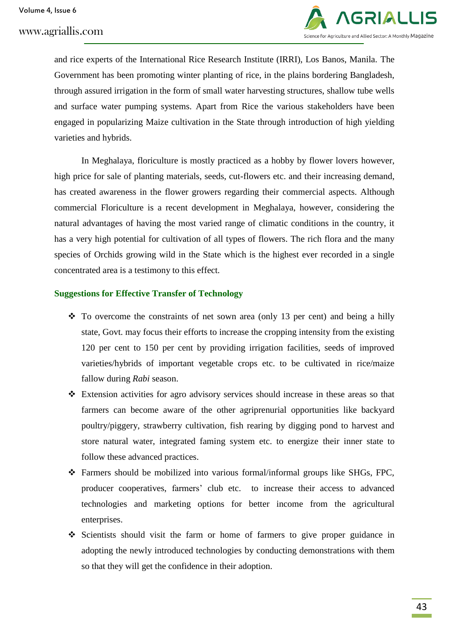

and rice experts of the International Rice Research Institute (IRRI), Los Banos, Manila. The Government has been promoting winter planting of rice, in the plains bordering Bangladesh, through assured irrigation in the form of small water harvesting structures, shallow tube wells and surface water pumping systems. Apart from Rice the various stakeholders have been engaged in popularizing Maize cultivation in the State through introduction of high yielding varieties and hybrids.

In Meghalaya, floriculture is mostly practiced as a hobby by flower lovers however, high price for sale of planting materials, seeds, cut-flowers etc. and their increasing demand, has created awareness in the flower growers regarding their commercial aspects. Although commercial Floriculture is a recent development in Meghalaya, however, considering the natural advantages of having the most varied range of climatic conditions in the country, it has a very high potential for cultivation of all types of flowers. The rich flora and the many species of Orchids growing wild in the State which is the highest ever recorded in a single concentrated area is a testimony to this effect.

### **Suggestions for Effective Transfer of Technology**

- $\cdot$  To overcome the constraints of net sown area (only 13 per cent) and being a hilly state, Govt. may focus their efforts to increase the cropping intensity from the existing 120 per cent to 150 per cent by providing irrigation facilities, seeds of improved varieties/hybrids of important vegetable crops etc. to be cultivated in rice/maize fallow during *Rabi* season.
- Extension activities for agro advisory services should increase in these areas so that farmers can become aware of the other agriprenurial opportunities like backyard poultry/piggery, strawberry cultivation, fish rearing by digging pond to harvest and store natural water, integrated faming system etc. to energize their inner state to follow these advanced practices.
- Farmers should be mobilized into various formal/informal groups like SHGs, FPC, producer cooperatives, farmers' club etc. to increase their access to advanced technologies and marketing options for better income from the agricultural enterprises.
- Scientists should visit the farm or home of farmers to give proper guidance in adopting the newly introduced technologies by conducting demonstrations with them so that they will get the confidence in their adoption.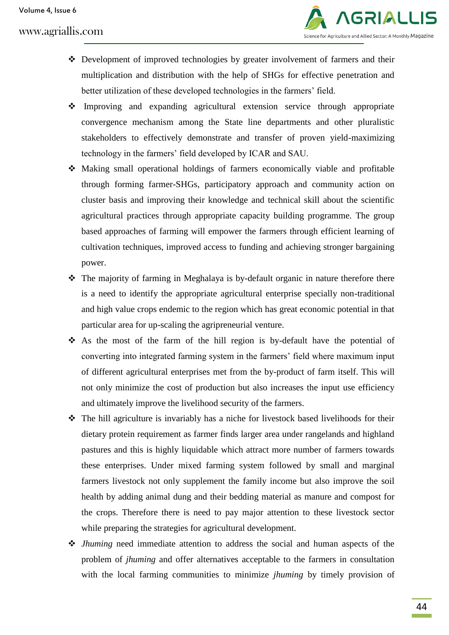

- Development of improved technologies by greater involvement of farmers and their multiplication and distribution with the help of SHGs for effective penetration and better utilization of these developed technologies in the farmers' field.
- Improving and expanding agricultural extension service through appropriate convergence mechanism among the State line departments and other pluralistic stakeholders to effectively demonstrate and transfer of proven yield-maximizing technology in the farmers' field developed by ICAR and SAU.
- Making small operational holdings of farmers economically viable and profitable through forming farmer-SHGs, participatory approach and community action on cluster basis and improving their knowledge and technical skill about the scientific agricultural practices through appropriate capacity building programme. The group based approaches of farming will empower the farmers through efficient learning of cultivation techniques, improved access to funding and achieving stronger bargaining power.
- The majority of farming in Meghalaya is by-default organic in nature therefore there is a need to identify the appropriate agricultural enterprise specially non-traditional and high value crops endemic to the region which has great economic potential in that particular area for up-scaling the agripreneurial venture.
- As the most of the farm of the hill region is by-default have the potential of converting into integrated farming system in the farmers' field where maximum input of different agricultural enterprises met from the by-product of farm itself. This will not only minimize the cost of production but also increases the input use efficiency and ultimately improve the livelihood security of the farmers.
- The hill agriculture is invariably has a niche for livestock based livelihoods for their dietary protein requirement as farmer finds larger area under rangelands and highland pastures and this is highly liquidable which attract more number of farmers towards these enterprises. Under mixed farming system followed by small and marginal farmers livestock not only supplement the family income but also improve the soil health by adding animal dung and their bedding material as manure and compost for the crops. Therefore there is need to pay major attention to these livestock sector while preparing the strategies for agricultural development.
- *Jhuming* need immediate attention to address the social and human aspects of the problem of *jhuming* and offer alternatives acceptable to the farmers in consultation with the local farming communities to minimize *jhuming* by timely provision of